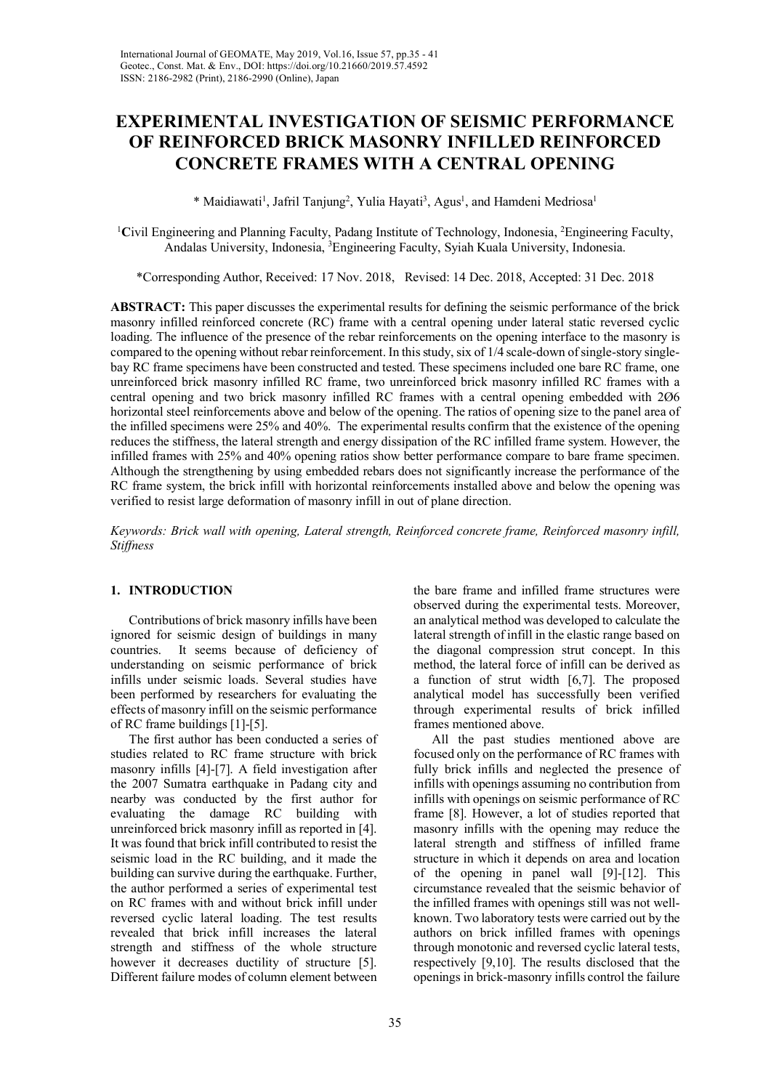# **EXPERIMENTAL INVESTIGATION OF SEISMIC PERFORMANCE OF REINFORCED BRICK MASONRY INFILLED REINFORCED CONCRETE FRAMES WITH A CENTRAL OPENING**

\* Maidiawati<sup>1</sup>, Jafril Tanjung<sup>2</sup>, Yulia Hayati<sup>3</sup>, Agus<sup>1</sup>, and Hamdeni Medriosa<sup>1</sup>

<sup>1</sup>Civil Engineering and Planning Faculty, Padang Institute of Technology, Indonesia, <sup>2</sup>Engineering Faculty, Andalas University, Indonesia, <sup>3</sup> Engineering Faculty, Syiah Kuala University, Indonesia.

\*Corresponding Author, Received: 17 Nov. 2018, Revised: 14 Dec. 2018, Accepted: 31 Dec. 2018

**ABSTRACT:** This paper discusses the experimental results for defining the seismic performance of the brick masonry infilled reinforced concrete (RC) frame with a central opening under lateral static reversed cyclic loading. The influence of the presence of the rebar reinforcements on the opening interface to the masonry is compared to the opening without rebar reinforcement. In this study, six of 1/4 scale-down of single-story singlebay RC frame specimens have been constructed and tested. These specimens included one bare RC frame, one unreinforced brick masonry infilled RC frame, two unreinforced brick masonry infilled RC frames with a central opening and two brick masonry infilled RC frames with a central opening embedded with 2Ø6 horizontal steel reinforcements above and below of the opening. The ratios of opening size to the panel area of the infilled specimens were 25% and 40%. The experimental results confirm that the existence of the opening reduces the stiffness, the lateral strength and energy dissipation of the RC infilled frame system. However, the infilled frames with 25% and 40% opening ratios show better performance compare to bare frame specimen. Although the strengthening by using embedded rebars does not significantly increase the performance of the RC frame system, the brick infill with horizontal reinforcements installed above and below the opening was verified to resist large deformation of masonry infill in out of plane direction.

*Keywords: Brick wall with opening, Lateral strength, Reinforced concrete frame, Reinforced masonry infill, Stiffness*

# **1. INTRODUCTION**

Contributions of brick masonry infills have been ignored for seismic design of buildings in many countries. It seems because of deficiency of understanding on seismic performance of brick infills under seismic loads. Several studies have been performed by researchers for evaluating the effects of masonry infill on the seismic performance of RC frame buildings [1]-[5].

The first author has been conducted a series of studies related to RC frame structure with brick masonry infills [4]-[7]. A field investigation after the 2007 Sumatra earthquake in Padang city and nearby was conducted by the first author for evaluating the damage RC building with unreinforced brick masonry infill as reported in [4]. It was found that brick infill contributed to resist the seismic load in the RC building, and it made the building can survive during the earthquake. Further, the author performed a series of experimental test on RC frames with and without brick infill under reversed cyclic lateral loading. The test results revealed that brick infill increases the lateral strength and stiffness of the whole structure however it decreases ductility of structure [5]. Different failure modes of column element between the bare frame and infilled frame structures were observed during the experimental tests. Moreover, an analytical method was developed to calculate the lateral strength of infill in the elastic range based on the diagonal compression strut concept. In this method, the lateral force of infill can be derived as a function of strut width [6,7]. The proposed analytical model has successfully been verified through experimental results of brick infilled frames mentioned above.

All the past studies mentioned above are focused only on the performance of RC frames with fully brick infills and neglected the presence of infills with openings assuming no contribution from infills with openings on seismic performance of RC frame [8]. However, a lot of studies reported that masonry infills with the opening may reduce the lateral strength and stiffness of infilled frame structure in which it depends on area and location of the opening in panel wall [9]-[12]. This circumstance revealed that the seismic behavior of the infilled frames with openings still was not wellknown. Two laboratory tests were carried out by the authors on brick infilled frames with openings through monotonic and reversed cyclic lateral tests, respectively [9,10]. The results disclosed that the openings in brick-masonry infills control the failure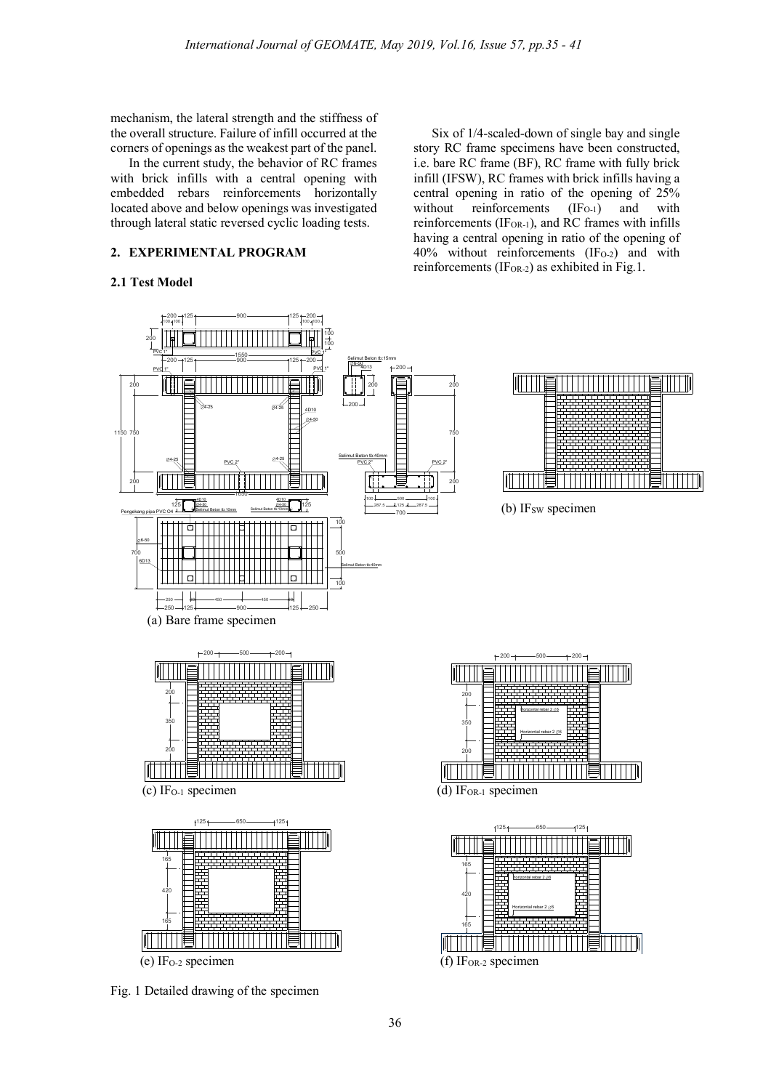mechanism, the lateral strength and the stiffness of the overall structure. Failure of infill occurred at the corners of openings as the weakest part of the panel.

In the current study, the behavior of RC frames with brick infills with a central opening with embedded rebars reinforcements horizontally located above and below openings was investigated through lateral static reversed cyclic loading tests.

# **2. EXPERIMENTAL PROGRAM**

# **2.1 Test Model**

Six of 1/4-scaled-down of single bay and single story RC frame specimens have been constructed, i.e. bare RC frame (BF), RC frame with fully brick infill (IFSW), RC frames with brick infills having a central opening in ratio of the opening of 25% without reinforcements  $(IF<sub>O-1</sub>)$  and with reinforcements (IFOR-1), and RC frames with infills having a central opening in ratio of the opening of  $40\%$  without reinforcements (IF<sub>O-2</sub>) and with reinforcements (IF<sub>OR-2</sub>) as exhibited in Fig.1.



Fig. 1 Detailed drawing of the specimen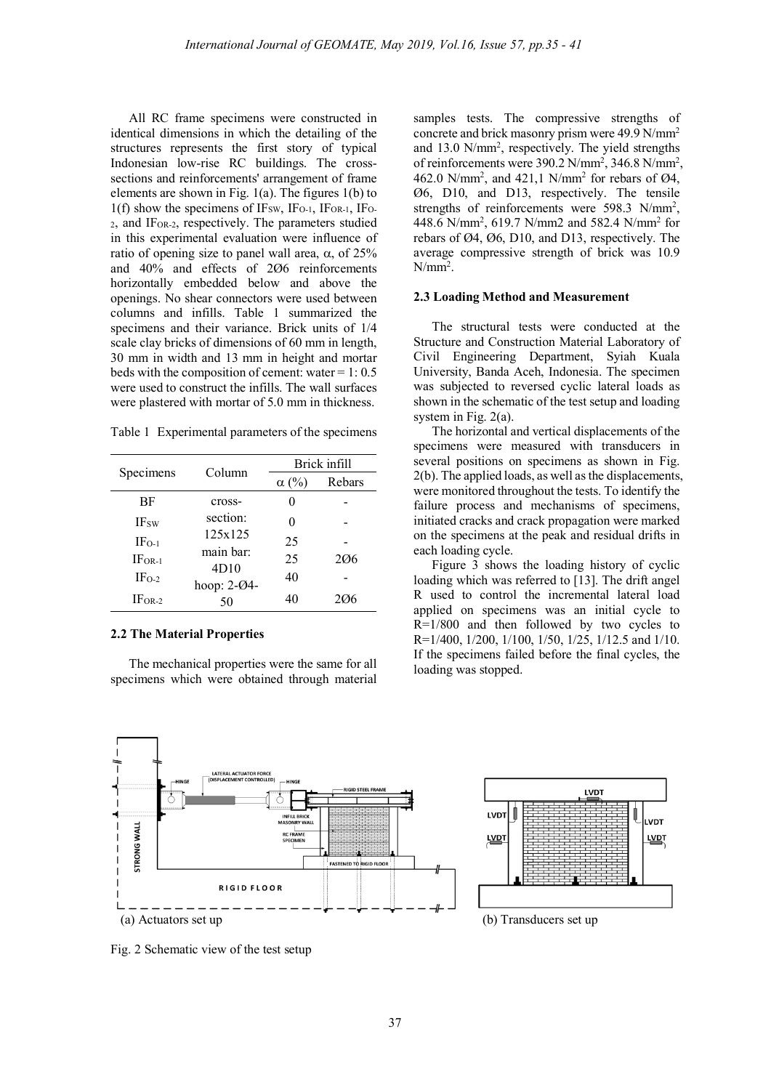All RC frame specimens were constructed in identical dimensions in which the detailing of the structures represents the first story of typical Indonesian low-rise RC buildings. The crosssections and reinforcements' arrangement of frame elements are shown in Fig. 1(a). The figures 1(b) to  $1(f)$  show the specimens of IF<sub>SW</sub>, IF<sub>O-1</sub>, IF<sub>OR-1</sub>, IF<sub>O-</sub> 2, and IFOR-2, respectively. The parameters studied in this experimental evaluation were influence of ratio of opening size to panel wall area,  $\alpha$ , of 25% and 40% and effects of 2Ø6 reinforcements horizontally embedded below and above the openings. No shear connectors were used between columns and infills. Table 1 summarized the specimens and their variance. Brick units of 1/4 scale clay bricks of dimensions of 60 mm in length, 30 mm in width and 13 mm in height and mortar beds with the composition of cement: water  $= 1: 0.5$ were used to construct the infills. The wall surfaces were plastered with mortar of 5.0 mm in thickness.

Table 1 Experimental parameters of the specimens

| Specimens    | Column            | Brick infill |        |
|--------------|-------------------|--------------|--------|
|              |                   | $\alpha$ (%) | Rebars |
| BF           | cross-            |              |        |
| <b>IF</b> sw | section:          | 0            |        |
| $IF_{O-1}$   | 125x125           | 25           |        |
| $IFOR-1$     | main bar:         | 25           | 206    |
| $IFO-2$      | 4D10              | 40           |        |
| $IFOR-2$     | hoop: 2-04-<br>50 | 40           | 206    |

# **2.2 The Material Properties**

The mechanical properties were the same for all specimens which were obtained through material samples tests. The compressive strengths of concrete and brick masonry prism were 49.9 N/mm2 and 13.0 N/mm<sup>2</sup>, respectively. The yield strengths of reinforcements were 390.2 N/mm<sup>2</sup>, 346.8 N/mm<sup>2</sup>, 462.0 N/mm<sup>2</sup>, and 421,1 N/mm<sup>2</sup> for rebars of  $\varnothing$ 4, Ø6, D10, and D13, respectively. The tensile strengths of reinforcements were 598.3 N/mm<sup>2</sup>, 448.6 N/mm2 , 619.7 N/mm2 and 582.4 N/mm2 for rebars of Ø4, Ø6, D10, and D13, respectively. The average compressive strength of brick was 10.9  $N/mm<sup>2</sup>$ .

### **2.3 Loading Method and Measurement**

The structural tests were conducted at the Structure and Construction Material Laboratory of Civil Engineering Department, Syiah Kuala University, Banda Aceh, Indonesia. The specimen was subjected to reversed cyclic lateral loads as shown in the schematic of the test setup and loading system in Fig. 2(a).

The horizontal and vertical displacements of the specimens were measured with transducers in several positions on specimens as shown in Fig. 2(b). The applied loads, as well as the displacements, were monitored throughout the tests. To identify the failure process and mechanisms of specimens, initiated cracks and crack propagation were marked on the specimens at the peak and residual drifts in each loading cycle.

Figure 3 shows the loading history of cyclic loading which was referred to [13]. The drift angel R used to control the incremental lateral load applied on specimens was an initial cycle to  $R=1/800$  and then followed by two cycles to R=1/400, 1/200, 1/100, 1/50, 1/25, 1/12.5 and 1/10. If the specimens failed before the final cycles, the loading was stopped.



Fig. 2 Schematic view of the test setup

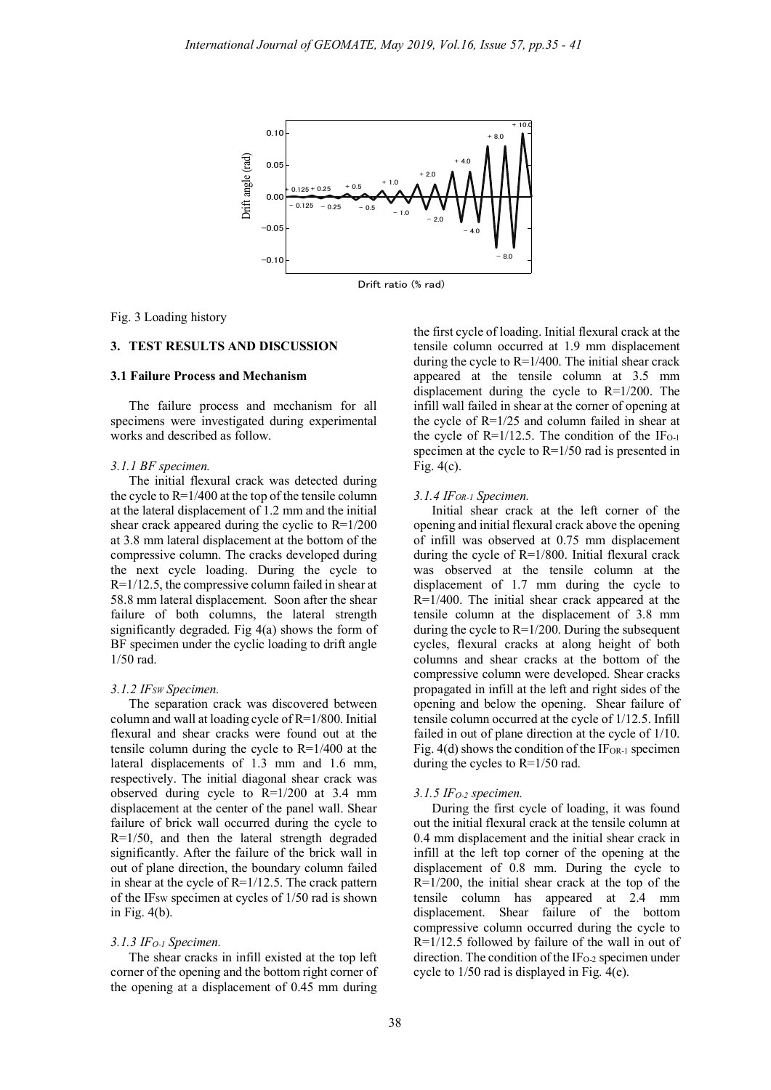

Drift ratio (% rad)

#### Fig. 3 Loading history

# **3. TEST RESULTS AND DISCUSSION**

#### **3.1 Failure Process and Mechanism**

The failure process and mechanism for all specimens were investigated during experimental works and described as follow.

#### *3.1.1 BF specimen.*

The initial flexural crack was detected during the cycle to  $R=1/400$  at the top of the tensile column at the lateral displacement of 1.2 mm and the initial shear crack appeared during the cyclic to  $R=1/200$ at 3.8 mm lateral displacement at the bottom of the compressive column. The cracks developed during the next cycle loading. During the cycle to R=1/12.5, the compressive column failed in shear at 58.8 mm lateral displacement. Soon after the shear failure of both columns, the lateral strength significantly degraded. Fig 4(a) shows the form of BF specimen under the cyclic loading to drift angle 1/50 rad.

#### *3.1.2 IFSW Specimen.*

The separation crack was discovered between column and wall at loading cycle of R=1/800. Initial flexural and shear cracks were found out at the tensile column during the cycle to R=1/400 at the lateral displacements of 1.3 mm and 1.6 mm, respectively. The initial diagonal shear crack was observed during cycle to R=1/200 at 3.4 mm displacement at the center of the panel wall. Shear failure of brick wall occurred during the cycle to R=1/50, and then the lateral strength degraded significantly. After the failure of the brick wall in out of plane direction, the boundary column failed in shear at the cycle of R=1/12.5. The crack pattern of the IF<sub>SW</sub> specimen at cycles of 1/50 rad is shown in Fig. 4(b).

## *3.1.3 IFO-1 Specimen.*

The shear cracks in infill existed at the top left corner of the opening and the bottom right corner of the opening at a displacement of 0.45 mm during the first cycle of loading. Initial flexural crack at the tensile column occurred at 1.9 mm displacement during the cycle to R=1/400. The initial shear crack appeared at the tensile column at 3.5 mm displacement during the cycle to  $R=1/200$ . The infill wall failed in shear at the corner of opening at the cycle of R=1/25 and column failed in shear at the cycle of  $R=1/12.5$ . The condition of the IF<sub>O-1</sub> specimen at the cycle to R=1/50 rad is presented in Fig. 4(c).

### *3.1.4 IFOR-1 Specimen.*

Initial shear crack at the left corner of the opening and initial flexural crack above the opening of infill was observed at 0.75 mm displacement during the cycle of R=1/800. Initial flexural crack was observed at the tensile column at the displacement of 1.7 mm during the cycle to R=1/400. The initial shear crack appeared at the tensile column at the displacement of 3.8 mm during the cycle to R=1/200. During the subsequent cycles, flexural cracks at along height of both columns and shear cracks at the bottom of the compressive column were developed. Shear cracks propagated in infill at the left and right sides of the opening and below the opening. Shear failure of tensile column occurred at the cycle of 1/12.5. Infill failed in out of plane direction at the cycle of 1/10. Fig.  $4(d)$  shows the condition of the IF<sub>OR-1</sub> specimen during the cycles to R=1/50 rad.

#### *3.1.5 IFO-2 specimen.*

During the first cycle of loading, it was found out the initial flexural crack at the tensile column at 0.4 mm displacement and the initial shear crack in infill at the left top corner of the opening at the displacement of 0.8 mm. During the cycle to  $R=1/200$ , the initial shear crack at the top of the tensile column has appeared at 2.4 mm displacement. Shear failure of the bottom compressive column occurred during the cycle to R=1/12.5 followed by failure of the wall in out of direction. The condition of the  $IF<sub>O-2</sub>$  specimen under cycle to 1/50 rad is displayed in Fig. 4(e).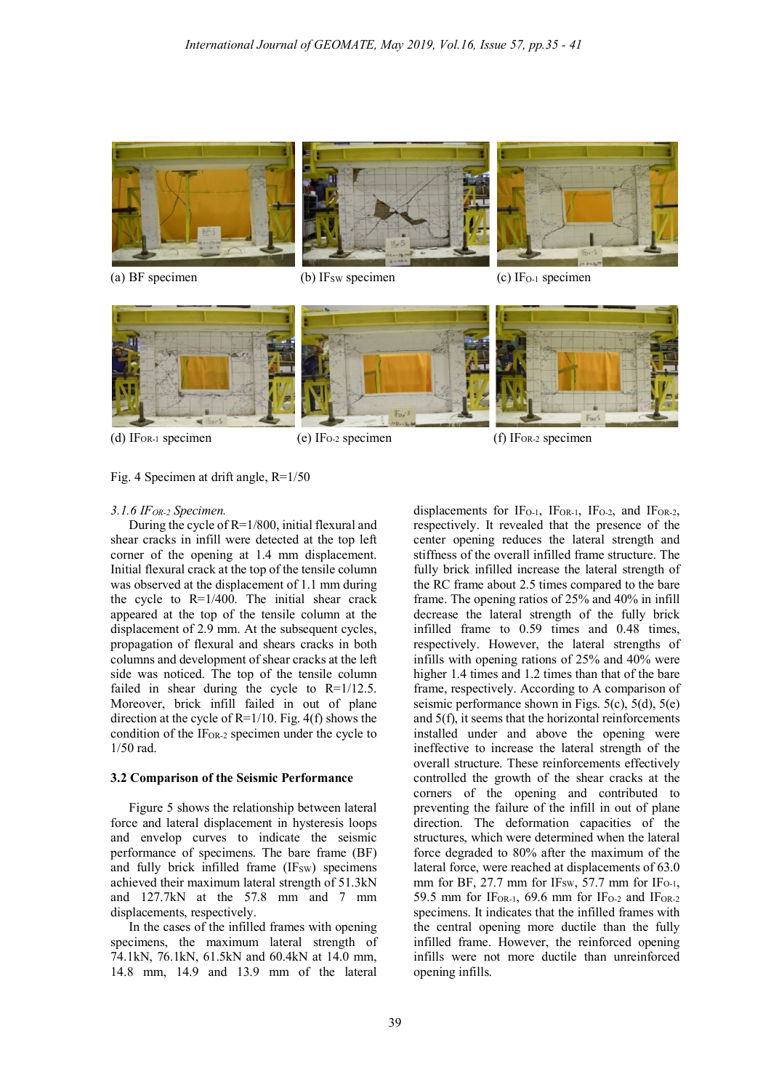

(a) BF specimen (b) IF<sub>SW</sub> specimen (c) IF<sub>O-1</sub> specimen





ļ



# Fig. 4 Specimen at drift angle, R=1/50

#### *3.1.6 IFOR-2 Specimen.*

During the cycle of R=1/800, initial flexural and shear cracks in infill were detected at the top left corner of the opening at 1.4 mm displacement. Initial flexural crack at the top of the tensile column was observed at the displacement of 1.1 mm during the cycle to R=1/400. The initial shear crack appeared at the top of the tensile column at the displacement of 2.9 mm. At the subsequent cycles, propagation of flexural and shears cracks in both columns and development of shear cracks at the left side was noticed. The top of the tensile column failed in shear during the cycle to R=1/12.5. Moreover, brick infill failed in out of plane direction at the cycle of  $R=1/10$ . Fig. 4(f) shows the condition of the  $IF<sub>OR-2</sub>$  specimen under the cycle to 1/50 rad.

#### **3.2 Comparison of the Seismic Performance**

Figure 5 shows the relationship between lateral force and lateral displacement in hysteresis loops and envelop curves to indicate the seismic performance of specimens. The bare frame (BF) and fully brick infilled frame  $(IF_{SW})$  specimens achieved their maximum lateral strength of 51.3kN and 127.7kN at the 57.8 mm and 7 mm displacements, respectively.

In the cases of the infilled frames with opening specimens, the maximum lateral strength of 74.1kN, 76.1kN, 61.5kN and 60.4kN at 14.0 mm, 14.8 mm, 14.9 and 13.9 mm of the lateral

displacements for IF<sub>O-1</sub>, IF<sub>OR-1</sub>, IF<sub>O-2</sub>, and IF<sub>OR-2</sub>, respectively. It revealed that the presence of the center opening reduces the lateral strength and stiffness of the overall infilled frame structure. The fully brick infilled increase the lateral strength of the RC frame about 2.5 times compared to the bare frame. The opening ratios of 25% and 40% in infill decrease the lateral strength of the fully brick infilled frame to 0.59 times and 0.48 times, respectively. However, the lateral strengths of infills with opening rations of 25% and 40% were higher 1.4 times and 1.2 times than that of the bare frame, respectively. According to A comparison of seismic performance shown in Figs. 5(c), 5(d), 5(e) and 5(f), it seems that the horizontal reinforcements installed under and above the opening were ineffective to increase the lateral strength of the overall structure. These reinforcements effectively controlled the growth of the shear cracks at the corners of the opening and contributed to preventing the failure of the infill in out of plane direction. The deformation capacities of the structures, which were determined when the lateral force degraded to 80% after the maximum of the lateral force, were reached at displacements of 63.0 mm for BF, 27.7 mm for IFsw, 57.7 mm for IF $o_{-1}$ , 59.5 mm for IF<sub>OR-1</sub>, 69.6 mm for IF<sub>O-2</sub> and IF<sub>OR-2</sub> specimens. It indicates that the infilled frames with the central opening more ductile than the fully infilled frame. However, the reinforced opening infills were not more ductile than unreinforced opening infills.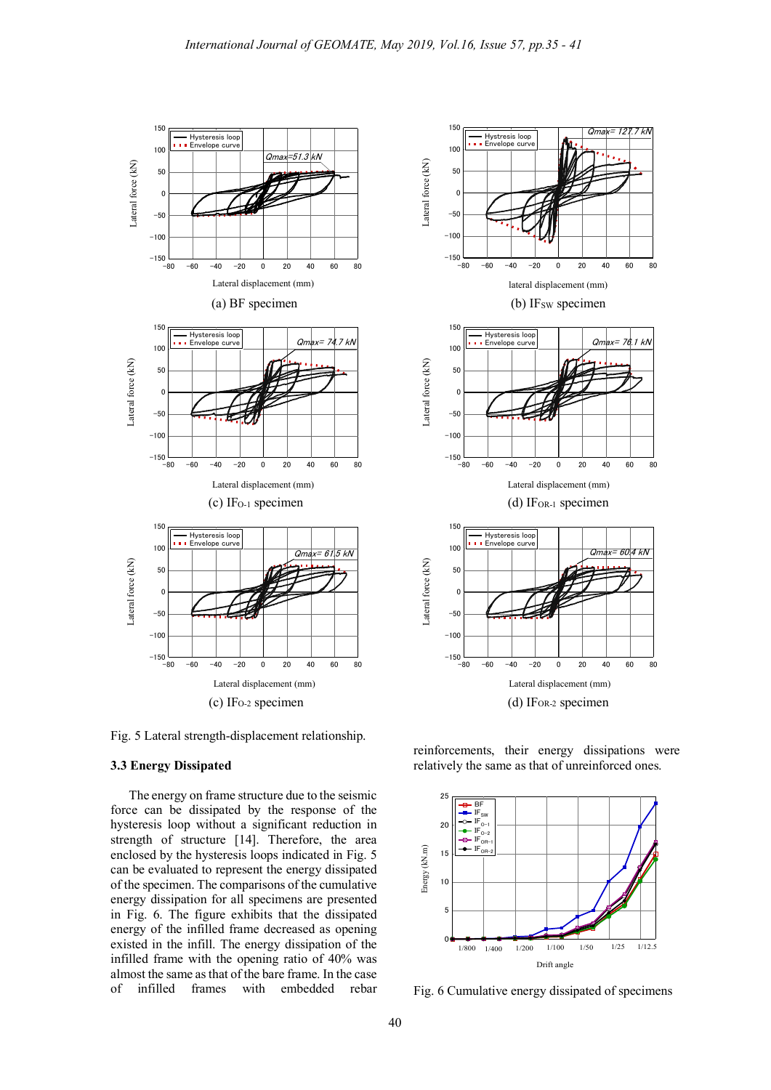

Fig. 5 Lateral strength-displacement relationship.

#### **3.3 Energy Dissipated**

The energy on frame structure due to the seismic force can be dissipated by the response of the hysteresis loop without a significant reduction in strength of structure [14]. Therefore, the area enclosed by the hysteresis loops indicated in Fig. 5 can be evaluated to represent the energy dissipated of the specimen. The comparisons of the cumulative energy dissipation for all specimens are presented in Fig. 6. The figure exhibits that the dissipated energy of the infilled frame decreased as opening existed in the infill. The energy dissipation of the infilled frame with the opening ratio of 40% was almost the same asthat of the bare frame. In the case of infilled frames with embedded rebar



reinforcements, their energy dissipations were relatively the same as that of unreinforced ones.



Fig. 6 Cumulative energy dissipated of specimens